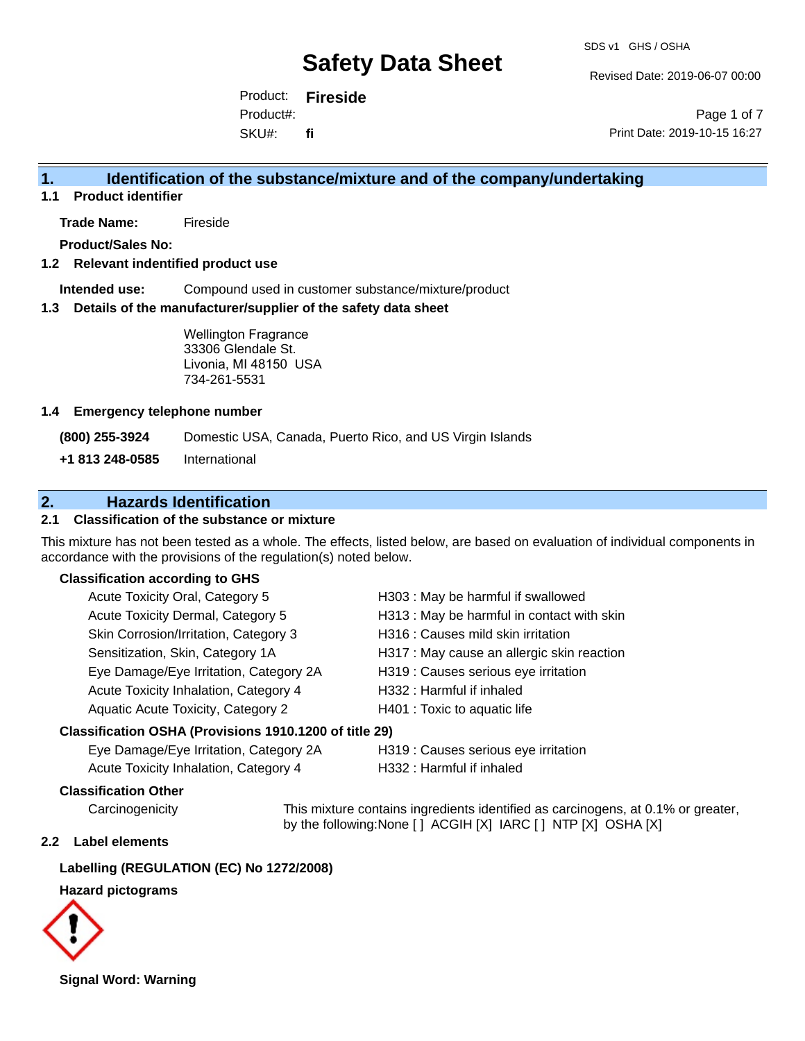Revised Date: 2019-06-07 00:00

Product: **Fireside** SKU#: Product#: **fi**

Page 1 of 7 Print Date: 2019-10-15 16:27

### **1. Identification of the substance/mixture and of the company/undertaking**

**1.1 Product identifier**

**Trade Name:** Fireside

**Product/Sales No:**

#### **1.2 Relevant indentified product use**

**Intended use:** Compound used in customer substance/mixture/product

#### **1.3 Details of the manufacturer/supplier of the safety data sheet**

Wellington Fragrance 33306 Glendale St. Livonia, MI 48150 USA 734-261-5531

#### **1.4 Emergency telephone number**

**(800) 255-3924** Domestic USA, Canada, Puerto Rico, and US Virgin Islands

**+1 813 248-0585** International

### **2. Hazards Identification**

#### **2.1 Classification of the substance or mixture**

This mixture has not been tested as a whole. The effects, listed below, are based on evaluation of individual components in accordance with the provisions of the regulation(s) noted below.

#### **Classification according to GHS**

| Acute Toxicity Oral, Category 5        | H303: May be harmful if swallowed          |
|----------------------------------------|--------------------------------------------|
| Acute Toxicity Dermal, Category 5      | H313 : May be harmful in contact with skin |
| Skin Corrosion/Irritation, Category 3  | H316 : Causes mild skin irritation         |
| Sensitization, Skin, Category 1A       | H317 : May cause an allergic skin reaction |
| Eye Damage/Eye Irritation, Category 2A | H319 : Causes serious eye irritation       |
| Acute Toxicity Inhalation, Category 4  | H332: Harmful if inhaled                   |
| Aquatic Acute Toxicity, Category 2     | H401 : Toxic to aquatic life               |
|                                        |                                            |

#### **Classification OSHA (Provisions 1910.1200 of title 29)**

| Eye Damage/Eye Irritation, Category 2A | H319 : Causes serious eye irritation |
|----------------------------------------|--------------------------------------|
| Acute Toxicity Inhalation, Category 4  | H332 : Harmful if inhaled            |

#### **Classification Other**

Carcinogenicity This mixture contains ingredients identified as carcinogens, at 0.1% or greater, by the following:None [ ] ACGIH [X] IARC [ ] NTP [X] OSHA [X]

#### **2.2 Label elements**

#### **Labelling (REGULATION (EC) No 1272/2008)**

#### **Hazard pictograms**



**Signal Word: Warning**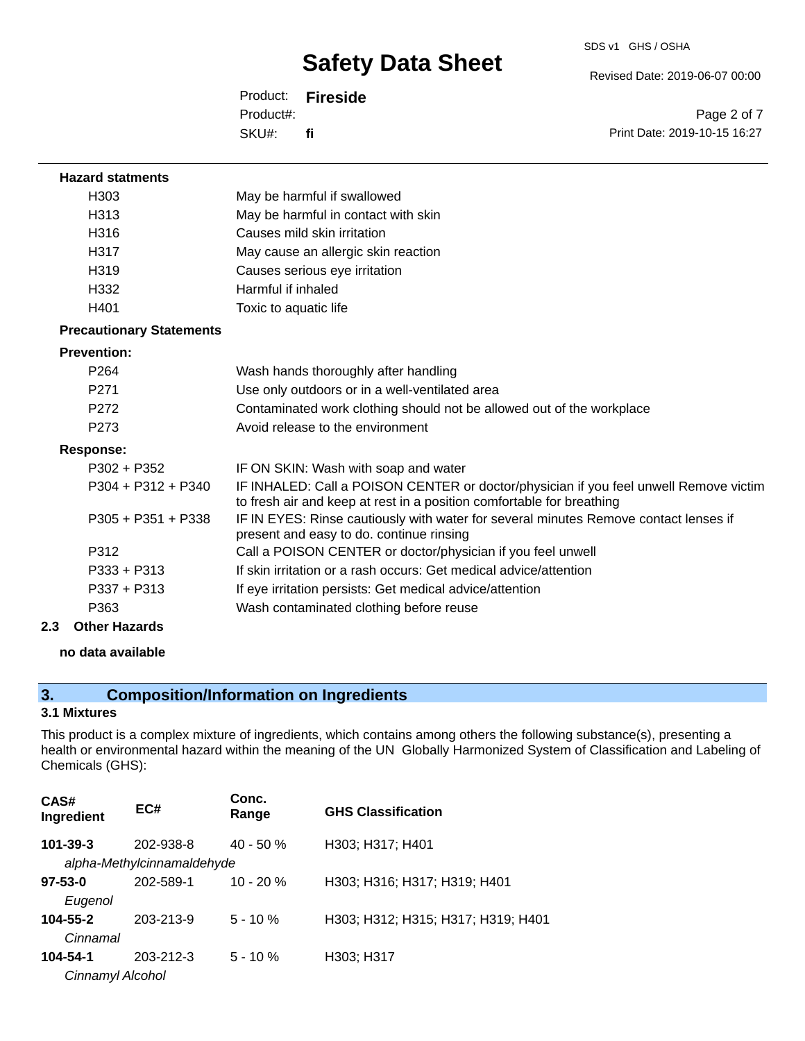Revised Date: 2019-06-07 00:00

Product: **Fireside** SKU#: Product#: **fi**

Page 2 of 7 Print Date: 2019-10-15 16:27

| <b>Hazard statments</b>         |                                                                                                                                                                |
|---------------------------------|----------------------------------------------------------------------------------------------------------------------------------------------------------------|
| H <sub>303</sub>                | May be harmful if swallowed                                                                                                                                    |
| H <sub>3</sub> 13               | May be harmful in contact with skin                                                                                                                            |
| H316                            | Causes mild skin irritation                                                                                                                                    |
| H317                            | May cause an allergic skin reaction                                                                                                                            |
| H <sub>319</sub>                | Causes serious eye irritation                                                                                                                                  |
| H332                            | Harmful if inhaled                                                                                                                                             |
| H401                            | Toxic to aquatic life                                                                                                                                          |
| <b>Precautionary Statements</b> |                                                                                                                                                                |
| <b>Prevention:</b>              |                                                                                                                                                                |
| P <sub>264</sub>                | Wash hands thoroughly after handling                                                                                                                           |
| P <sub>271</sub>                | Use only outdoors or in a well-ventilated area                                                                                                                 |
| P272                            | Contaminated work clothing should not be allowed out of the workplace                                                                                          |
| P <sub>273</sub>                | Avoid release to the environment                                                                                                                               |
| Response:                       |                                                                                                                                                                |
| $P302 + P352$                   | IF ON SKIN: Wash with soap and water                                                                                                                           |
| $P304 + P312 + P340$            | IF INHALED: Call a POISON CENTER or doctor/physician if you feel unwell Remove victim<br>to fresh air and keep at rest in a position comfortable for breathing |
| $P305 + P351 + P338$            | IF IN EYES: Rinse cautiously with water for several minutes Remove contact lenses if<br>present and easy to do. continue rinsing                               |
| P312                            | Call a POISON CENTER or doctor/physician if you feel unwell                                                                                                    |
| $P333 + P313$                   | If skin irritation or a rash occurs: Get medical advice/attention                                                                                              |
| $P337 + P313$                   | If eye irritation persists: Get medical advice/attention                                                                                                       |
| P363                            | Wash contaminated clothing before reuse                                                                                                                        |
|                                 |                                                                                                                                                                |

**2.3 Other Hazards**

#### **no data available**

## **3. Composition/Information on Ingredients**

#### **3.1 Mixtures**

This product is a complex mixture of ingredients, which contains among others the following substance(s), presenting a health or environmental hazard within the meaning of the UN Globally Harmonized System of Classification and Labeling of Chemicals (GHS):

| CAS#<br>Ingredient | EC#                        | Conc.<br>Range | <b>GHS Classification</b>          |
|--------------------|----------------------------|----------------|------------------------------------|
| $101 - 39 - 3$     | 202-938-8                  | $40 - 50%$     | H303; H317; H401                   |
|                    | alpha-Methylcinnamaldehyde |                |                                    |
| $97 - 53 - 0$      | 202-589-1                  | $10 - 20 \%$   | H303; H316; H317; H319; H401       |
| Eugenol            |                            |                |                                    |
| 104-55-2           | 203-213-9                  | $5 - 10 \%$    | H303; H312; H315; H317; H319; H401 |
| Cinnamal           |                            |                |                                    |
| 104-54-1           | 203-212-3                  | $5 - 10%$      | H303; H317                         |
| Cinnamyl Alcohol   |                            |                |                                    |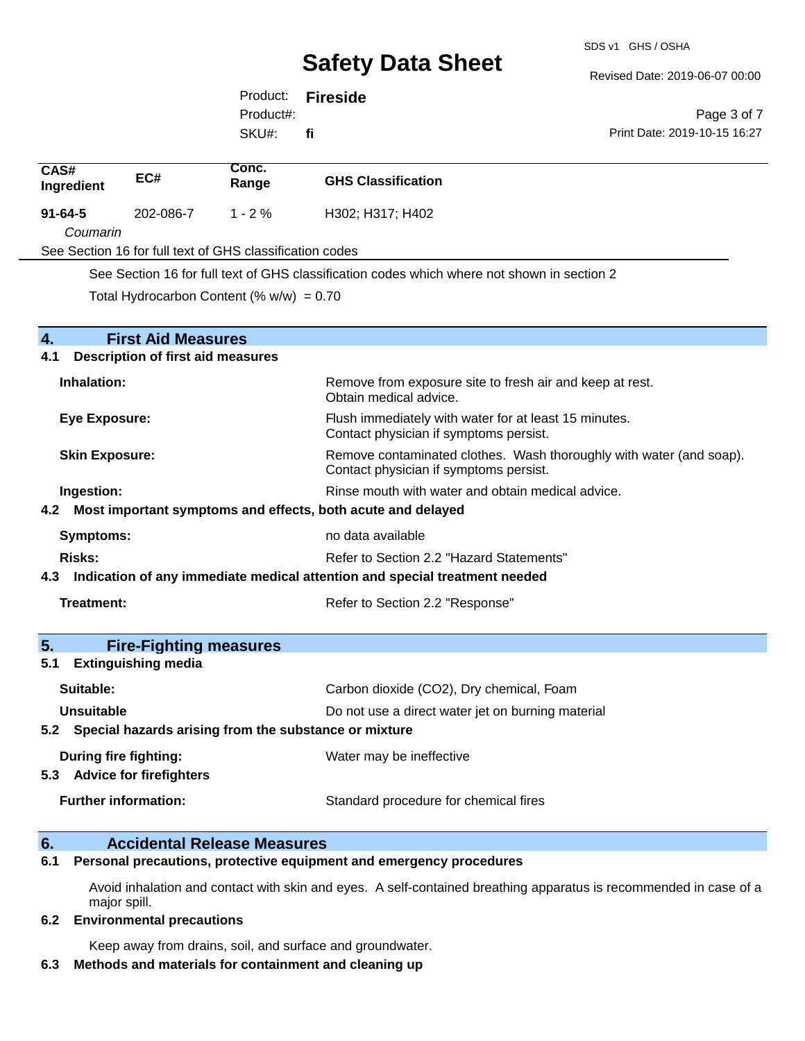Revised Date: 2019-06-07 00:00

Print Date: 2019-10-15 16:27

Page 3 of 7

Product: **Fireside** SKU#: Product#: **fi**

| CAS#<br>Ingredient | EC#                                                             | Conc.<br>Range | <b>GHS Classification</b>                                                                       |
|--------------------|-----------------------------------------------------------------|----------------|-------------------------------------------------------------------------------------------------|
| $91 - 64 - 5$      | 202-086-7                                                       | $1 - 2%$       | H302; H317; H402                                                                                |
|                    | Coumarin                                                        |                |                                                                                                 |
|                    | See Section 16 for full text of GHS classification codes        |                |                                                                                                 |
|                    |                                                                 |                | See Section 16 for full text of GHS classification codes which where not shown in section 2     |
|                    | Total Hydrocarbon Content (% $w/w$ ) = 0.70                     |                |                                                                                                 |
| $\overline{4}$ .   | <b>First Aid Measures</b>                                       |                |                                                                                                 |
| 4.1                | <b>Description of first aid measures</b>                        |                |                                                                                                 |
| Inhalation:        |                                                                 |                | Remove from exposure site to fresh air and keep at rest.<br>Obtain medical advice.              |
|                    | <b>Eye Exposure:</b>                                            |                | Flush immediately with water for at least 15 minutes.<br>Contact physician if symptoms persist. |
|                    | <b>Skin Exposure:</b><br>Contact physician if symptoms persist. |                | Remove contaminated clothes. Wash thoroughly with water (and soap).                             |
| Ingestion:         |                                                                 |                | Rinse mouth with water and obtain medical advice.                                               |
| 4.2                |                                                                 |                | Most important symptoms and effects, both acute and delayed                                     |
|                    | <b>Symptoms:</b>                                                |                | no data available                                                                               |
| Risks:             | Refer to Section 2.2 "Hazard Statements"                        |                |                                                                                                 |
| 4.3                |                                                                 |                | Indication of any immediate medical attention and special treatment needed                      |
| Treatment:         |                                                                 |                | Refer to Section 2.2 "Response"                                                                 |
| 5.                 | <b>Fire-Fighting measures</b>                                   |                |                                                                                                 |
| 5.1                | <b>Extinguishing media</b>                                      |                |                                                                                                 |
| Suitable:          |                                                                 |                | Carbon dioxide (CO2), Dry chemical, Foam                                                        |
| <b>Unsuitable</b>  |                                                                 |                | Do not use a direct water jet on burning material                                               |
|                    | 5.2 Special hazards arising from the substance or mixture       |                |                                                                                                 |
| 5.3                | <b>During fire fighting:</b><br><b>Advice for firefighters</b>  |                | Water may be ineffective                                                                        |
|                    | <b>Further information:</b>                                     |                | Standard procedure for chemical fires                                                           |
|                    |                                                                 |                |                                                                                                 |

## **6. Accidental Release Measures**

**6.1 Personal precautions, protective equipment and emergency procedures**

Avoid inhalation and contact with skin and eyes. A self-contained breathing apparatus is recommended in case of a major spill.

#### **6.2 Environmental precautions**

Keep away from drains, soil, and surface and groundwater.

#### **6.3 Methods and materials for containment and cleaning up**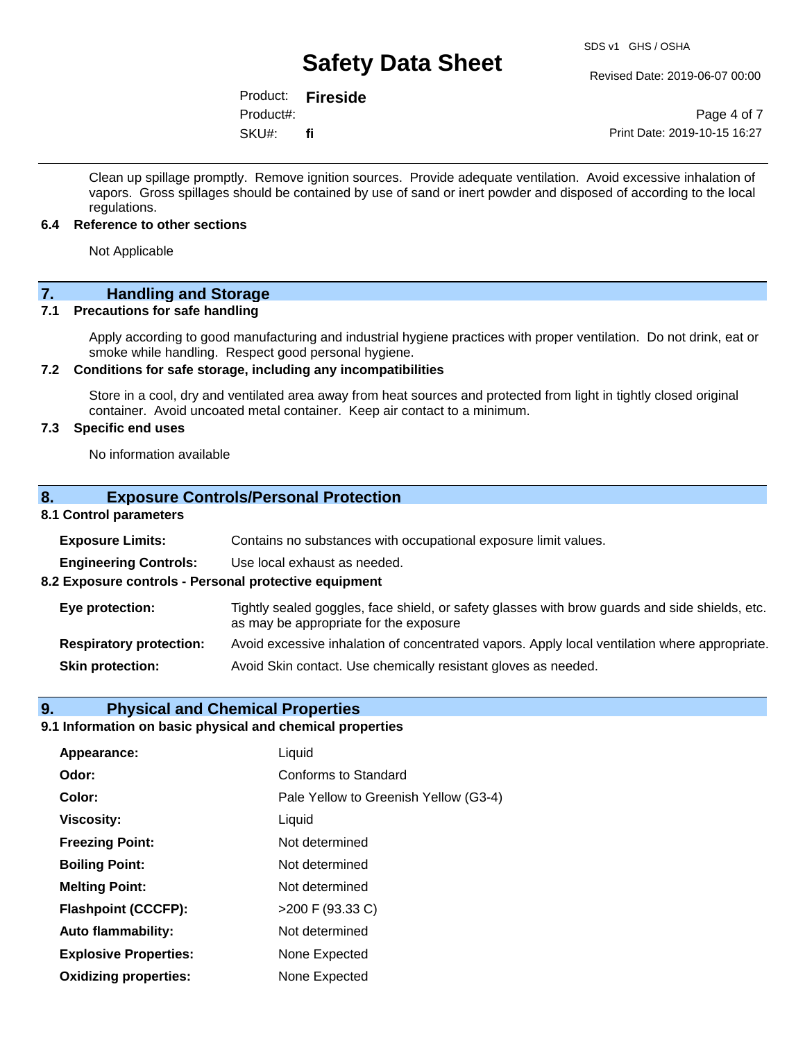Revised Date: 2019-06-07 00:00

Product: **Fireside** SKU#: Product#: **fi**

Page 4 of 7 Print Date: 2019-10-15 16:27

Clean up spillage promptly. Remove ignition sources. Provide adequate ventilation. Avoid excessive inhalation of vapors. Gross spillages should be contained by use of sand or inert powder and disposed of according to the local regulations.

#### **6.4 Reference to other sections**

Not Applicable

## **7. Handling and Storage**

#### **7.1 Precautions for safe handling**

Apply according to good manufacturing and industrial hygiene practices with proper ventilation. Do not drink, eat or smoke while handling. Respect good personal hygiene.

#### **7.2 Conditions for safe storage, including any incompatibilities**

Store in a cool, dry and ventilated area away from heat sources and protected from light in tightly closed original container. Avoid uncoated metal container. Keep air contact to a minimum.

#### **7.3 Specific end uses**

No information available

#### **8. Exposure Controls/Personal Protection**

#### **8.1 Control parameters**

| <b>Exposure Limits:</b>                               | Contains no substances with occupational exposure limit values.                                                                          |
|-------------------------------------------------------|------------------------------------------------------------------------------------------------------------------------------------------|
| <b>Engineering Controls:</b>                          | Use local exhaust as needed.                                                                                                             |
| 8.2 Exposure controls - Personal protective equipment |                                                                                                                                          |
| Eye protection:                                       | Tightly sealed goggles, face shield, or safety glasses with brow guards and side shields, etc.<br>as may be appropriate for the exposure |
| <b>Respiratory protection:</b>                        | Avoid excessive inhalation of concentrated vapors. Apply local ventilation where appropriate.                                            |
| <b>Skin protection:</b>                               | Avoid Skin contact. Use chemically resistant gloves as needed.                                                                           |

#### **9. Physical and Chemical Properties**

### **9.1 Information on basic physical and chemical properties**

| Appearance:                  | Liquid                                |  |
|------------------------------|---------------------------------------|--|
| Odor:                        | Conforms to Standard                  |  |
| Color:                       | Pale Yellow to Greenish Yellow (G3-4) |  |
| <b>Viscosity:</b>            | Liquid                                |  |
| <b>Freezing Point:</b>       | Not determined                        |  |
| <b>Boiling Point:</b>        | Not determined                        |  |
| <b>Melting Point:</b>        | Not determined                        |  |
| <b>Flashpoint (CCCFP):</b>   | $>200$ F (93.33 C)                    |  |
| <b>Auto flammability:</b>    | Not determined                        |  |
| <b>Explosive Properties:</b> | None Expected                         |  |
| <b>Oxidizing properties:</b> | None Expected                         |  |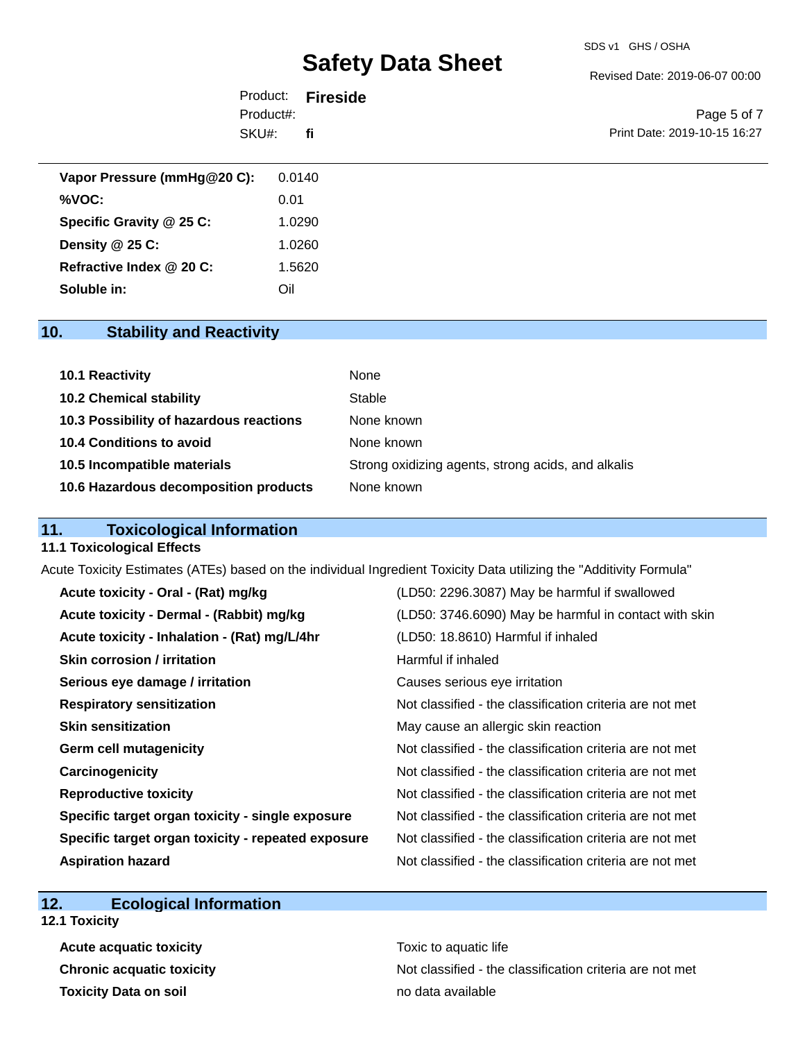#### SDS v1 GHS / OSHA

## **Safety Data Sheet**

Revised Date: 2019-06-07 00:00

|           | Product: <b>Fireside</b> |                              |
|-----------|--------------------------|------------------------------|
| Product#: |                          | Page 5 of 7                  |
| SKU#:     | fi                       | Print Date: 2019-10-15 16:27 |

| Vapor Pressure (mmHg@20 C): | 0.0140 |
|-----------------------------|--------|
| %VOC:                       | 0.01   |
| Specific Gravity @ 25 C:    | 1.0290 |
| Density $@25C$ :            | 1.0260 |
| Refractive Index @ 20 C:    | 1.5620 |
| Soluble in:                 | Oil    |

### **10. Stability and Reactivity**

| 10.1 Reactivity                         | None                                               |
|-----------------------------------------|----------------------------------------------------|
| <b>10.2 Chemical stability</b>          | Stable                                             |
| 10.3 Possibility of hazardous reactions | None known                                         |
| 10.4 Conditions to avoid                | None known                                         |
| 10.5 Incompatible materials             | Strong oxidizing agents, strong acids, and alkalis |
| 10.6 Hazardous decomposition products   | None known                                         |

### **11. Toxicological Information**

#### **11.1 Toxicological Effects**

Acute Toxicity Estimates (ATEs) based on the individual Ingredient Toxicity Data utilizing the "Additivity Formula"

| Acute toxicity - Oral - (Rat) mg/kg                | (LD50: 2296.3087) May be harmful if swallowed            |
|----------------------------------------------------|----------------------------------------------------------|
| Acute toxicity - Dermal - (Rabbit) mg/kg           | (LD50: 3746.6090) May be harmful in contact with skin    |
| Acute toxicity - Inhalation - (Rat) mg/L/4hr       | (LD50: 18.8610) Harmful if inhaled                       |
| Skin corrosion / irritation                        | Harmful if inhaled                                       |
| Serious eye damage / irritation                    | Causes serious eye irritation                            |
| <b>Respiratory sensitization</b>                   | Not classified - the classification criteria are not met |
| <b>Skin sensitization</b>                          | May cause an allergic skin reaction                      |
| <b>Germ cell mutagenicity</b>                      | Not classified - the classification criteria are not met |
| Carcinogenicity                                    | Not classified - the classification criteria are not met |
| <b>Reproductive toxicity</b>                       | Not classified - the classification criteria are not met |
| Specific target organ toxicity - single exposure   | Not classified - the classification criteria are not met |
| Specific target organ toxicity - repeated exposure | Not classified - the classification criteria are not met |
| <b>Aspiration hazard</b>                           | Not classified - the classification criteria are not met |

### **12. Ecological Information**

**12.1 Toxicity**

**Acute acquatic toxicity Toxic to aquatic life Toxicity Data on soil no data available no data available** 

**Chronic acquatic toxicity** Not classified - the classification criteria are not met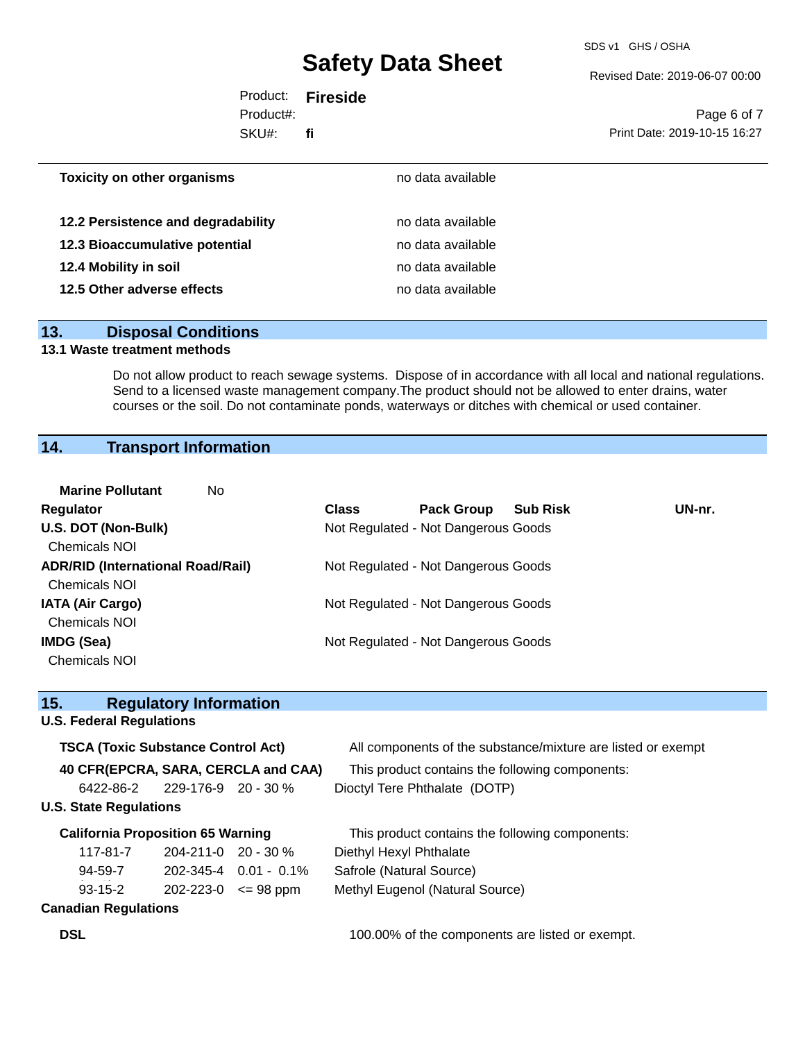SDS v1 GHS / OSHA

Revised Date: 2019-06-07 00:00

|           | Product: <b>Fireside</b> |                              |
|-----------|--------------------------|------------------------------|
| Product#: |                          | Page 6 of 7                  |
| SKU#:     | fi                       | Print Date: 2019-10-15 16:27 |
|           |                          |                              |
|           |                          |                              |

| no data available |
|-------------------|
| no data available |
| no data available |
| no data available |
| no data available |
|                   |

#### **13. Disposal Conditions**

#### **13.1 Waste treatment methods**

Do not allow product to reach sewage systems. Dispose of in accordance with all local and national regulations. Send to a licensed waste management company.The product should not be allowed to enter drains, water courses or the soil. Do not contaminate ponds, waterways or ditches with chemical or used container.

## **14. Transport Information**

| <b>Marine Pollutant</b><br>No.           |              |                                     |                 |        |
|------------------------------------------|--------------|-------------------------------------|-----------------|--------|
| <b>Regulator</b>                         | <b>Class</b> | <b>Pack Group</b>                   | <b>Sub Risk</b> | UN-nr. |
| U.S. DOT (Non-Bulk)                      |              | Not Regulated - Not Dangerous Goods |                 |        |
| <b>Chemicals NOI</b>                     |              |                                     |                 |        |
| <b>ADR/RID (International Road/Rail)</b> |              | Not Regulated - Not Dangerous Goods |                 |        |
| <b>Chemicals NOI</b>                     |              |                                     |                 |        |
| <b>IATA (Air Cargo)</b>                  |              | Not Regulated - Not Dangerous Goods |                 |        |
| <b>Chemicals NOI</b>                     |              |                                     |                 |        |
| IMDG (Sea)                               |              | Not Regulated - Not Dangerous Goods |                 |        |
| <b>Chemicals NOI</b>                     |              |                                     |                 |        |

| 15.                                       | <b>Regulatory Information</b> |                                                              |  |  |
|-------------------------------------------|-------------------------------|--------------------------------------------------------------|--|--|
| <b>U.S. Federal Regulations</b>           |                               |                                                              |  |  |
| <b>TSCA (Toxic Substance Control Act)</b> |                               | All components of the substance/mixture are listed or exempt |  |  |
| 40 CFR(EPCRA, SARA, CERCLA and CAA)       |                               | This product contains the following components:              |  |  |
| $6422 - 86 - 2$ 229-176-9 20 - 30 %       |                               | Dioctyl Tere Phthalate (DOTP)                                |  |  |
| <b>U.S. State Regulations</b>             |                               |                                                              |  |  |
| <b>California Proposition 65 Warning</b>  |                               | This product contains the following components:              |  |  |
| 117-81-7                                  | $204 - 211 - 0$ 20 - 30 %     | Diethyl Hexyl Phthalate                                      |  |  |
| 94-59-7                                   | $202 - 345 - 4$ 0.01 - 0.1%   | Safrole (Natural Source)                                     |  |  |
| $93 - 15 - 2$                             | $202 - 223 - 0 \leq 98$ ppm   | Methyl Eugenol (Natural Source)                              |  |  |
| <b>Canadian Regulations</b>               |                               |                                                              |  |  |

**DSL DSL 100.00%** of the components are listed or exempt.